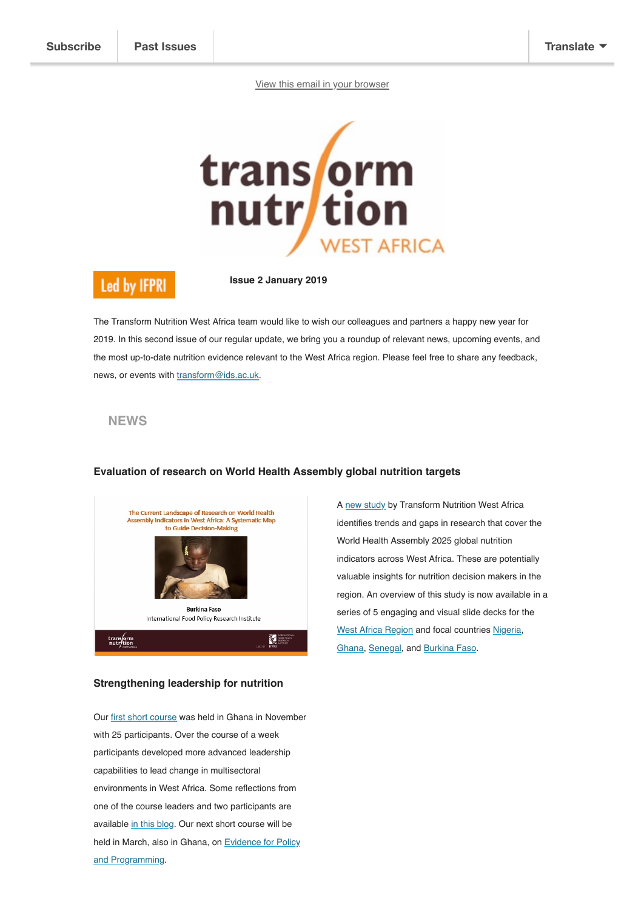[View this email in your browser](https://mailchi.mp/3afcaed56135/transform-nutrition-west-africa-update-january-2019?e=[UNIQID])



# **Led by IFPRI**

**Issue 2 January 2019**

The Transform Nutrition West Africa team would like to wish our colleagues and partners a happy new year for 2019. In this second issue of our regular update, we bring you a roundup of relevant news, upcoming events, and the most up-to-date nutrition evidence relevant to the West Africa region. Please feel free to share any feedback, news, or events with [transform@ids.ac.uk.](mailto:transform@ids.ac.uk)

#### **NEWS**



## **Evaluation of research on World Health Assembly global nutrition targets**

# **Strengthening leadership for nutrition**

Our [first short course](https://westafrica.transformnutrition.org/learning/leading-change-in-nutrition-ghana-november-2018/) was held in Ghana in November with 25 participants. Over the course of a week participants developed more advanced leadership capabilities to lead change in multisectoral environments in West Africa. Some reflections from one of the course leaders and two participants are available [in this blog.](https://westafrica.transformnutrition.org/learning/short-course-on-leading-change-seeks-to-contribute-momentum-to-accelerating-progress-on-nutrition/) Our next short course will be [held in March, also in Ghana, on Evidence for Policy](https://westafrica.transformnutrition.org/news/course-announcement-transforming-nutrition-in-west-africa-evidence-for-policy-and-programming/) and Programming.

A [new study](https://westafrica.transformnutrition.org/news/evaluation-of-research-on-world-health-assembly-targets-in-west-africa-new-slide-decks/) by Transform Nutrition West Africa identifies trends and gaps in research that cover the World Health Assembly 2025 global nutrition indicators across West Africa. These are potentially valuable insights for nutrition decision makers in the region. An overview of this study is now available in a series of 5 engaging and visual slide decks for the [West Africa Region](https://westafrica.transformnutrition.org/output/regional-systematic-map-to-guide-decision-making/) and focal countries [Nigeria,](https://westafrica.transformnutrition.org/output/nigeria-systematic-map-on/) [Ghana](https://westafrica.transformnutrition.org/output/ghana-systematic-map/), [Senegal](https://westafrica.transformnutrition.org/output/786/), and [Burkina Faso](https://westafrica.transformnutrition.org/output/burkina-faso-systematic-map/).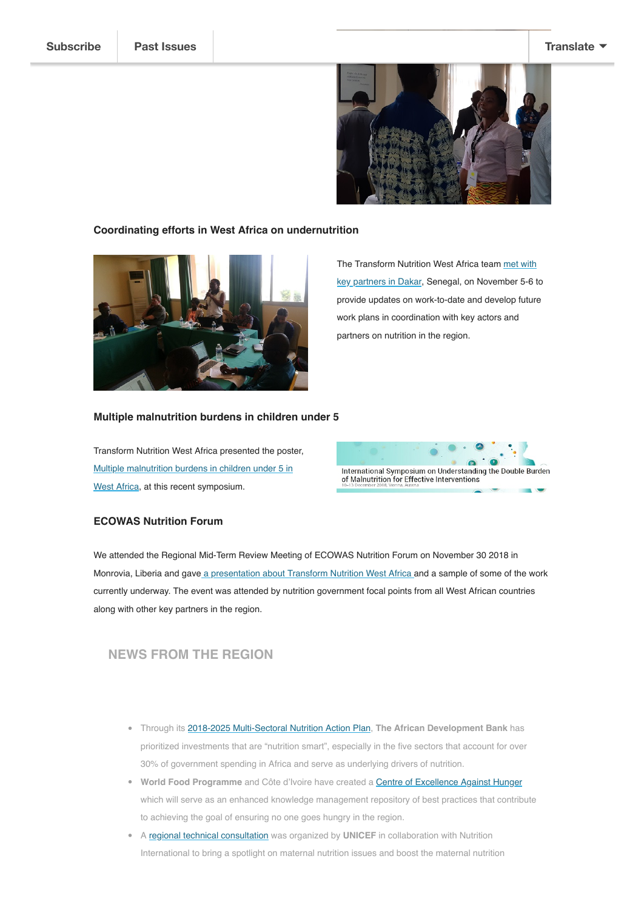

#### **Coordinating efforts in West Africa on undernutrition**



[The Transform Nutrition West Africa team met with](https://westafrica.transformnutrition.org/news/coordinating-efforts-in-west-africa-on-undernutrition/) key partners in Dakar, Senegal, on November 5-6 to provide updates on work-to-date and develop future work plans in coordination with key actors and partners on nutrition in the region.

#### **Multiple malnutrition burdens in children under 5**

Transform Nutrition West Africa presented the poster, [Multiple malnutrition burdens in children under 5 in](https://westafrica.transformnutrition.org/poster_iaea/) West Africa, at this recent symposium.



#### **ECOWAS Nutrition Forum**

We attended the Regional Mid-Term Review Meeting of ECOWAS Nutrition Forum on November 30 2018 in Monrovia, Liberia and gave [a presentation about Transform Nutrition West Africa a](https://www.slideshare.net/TransformNutritionWe/tnwa-at-regional-midterm-review-meeting-of-ecowas-nutrition-forum)nd a sample of some of the work currently underway. The event was attended by nutrition government focal points from all West African countries along with other key partners in the region.

# **NEWS FROM THE REGION**

- Through its [2018-2025 Multi-Sectoral Nutrition Action Plan,](https://www.afdb.org/fileadmin/uploads/afdb/Documents/Generic-Documents/Banking_on_Nutrition_ActionPlan_A4_V1d_single__Final_short_form_Action_Plan__2_.pdf) **The African Development Bank** has prioritized investments that are "nutrition smart", especially in the five sectors that account for over 30% of government spending in Africa and serve as underlying drivers of nutrition.
- **World Food Programme** and Côte d'Ivoire have created a **[Centre of Excellence Against Hunger](https://scalingupnutrition.org/news/wfp-and-cote-divoire-create-centre-of-excellence-against-hunger/)** which will serve as an enhanced knowledge management repository of best practices that contribute to achieving the goal of ensuring no one goes hungry in the region.
- A [regional technical consultation](https://westafrica.transformnutrition.org/wp-content/uploads/2019/01/WCA-Maternal-nutrition-meeting-Report-EN-FINAL-17-12-18.pdf) was organized by **UNICEF** in collaboration with Nutrition International to bring a spotlight on maternal nutrition issues and boost the maternal nutrition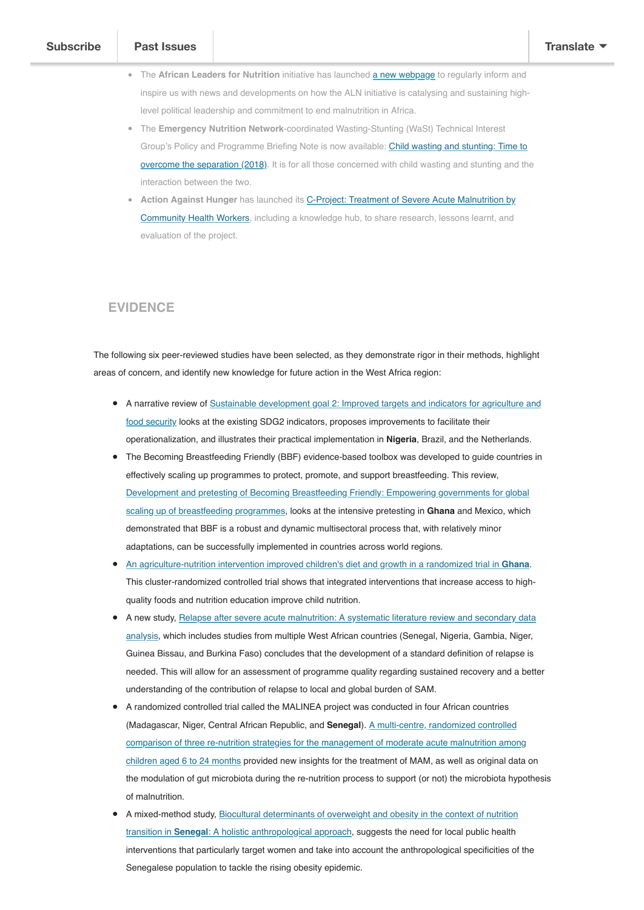African countries and regional and global partners.

- **The African Leaders for Nutrition** initiative has launched **a new webpage** to regularly inform and inspire us with news and developments on how the ALN initiative is catalysing and sustaining highlevel political leadership and commitment to end malnutrition in Africa.
- The **Emergency Nutrition Network**-coordinated Wasting-Stunting (WaSt) Technical Interest Group's Policy and Programme Briefing Note is now available: Child wasting and stunting: Time to [overcome the separation \(2018\). It is for all those concerned with child wasting and stunting and th](https://www.ennonline.net/attachments/2912/WaSt-policy-brief.pdf)e interaction between the two.
- **Action Against Hunger** has launched its C-Project: Treatment of Severe Acute Malnutrition by [Community Health Workers, including a knowledge hub, to share research, lessons learnt, and](https://westafrica.transformnutrition.org/wp-content/uploads/2019/01/2018_c-projet_pag-simples_EN.pdf) evaluation of the project.

## **EVIDENCE**

The following six peer-reviewed studies have been selected, as they demonstrate rigor in their methods, highlight areas of concern, and identify new knowledge for future action in the West Africa region:

- [A narrative review of Sustainable development goal 2: Improved targets and indicators for agriculture and](https://doi.org/10.1007/s13280-018-1101-4) food security looks at the existing SDG2 indicators, proposes improvements to facilitate their operationalization, and illustrates their practical implementation in **Nigeria**, Brazil, and the Netherlands.
- The Becoming Breastfeeding Friendly (BBF) evidence-based toolbox was developed to guide countries in effectively scaling up programmes to protect, promote, and support breastfeeding. This review, [Development and pretesting of Becoming Breastfeeding Friendly: Empowering governments for global](https://doi.org/10.1111/mcn.12659) scaling up of breastfeeding programmes, looks at the intensive pretesting in **Ghana** and Mexico, which demonstrated that BBF is a robust and dynamic multisectoral process that, with relatively minor adaptations, can be successfully implemented in countries across world regions.
- [An agriculture-nutrition intervention improved children's diet and growth in a randomized trial in](https://doi.org/10.1111/mcn.12677) **Ghana**. This cluster-randomized controlled trial shows that integrated interventions that increase access to highquality foods and nutrition education improve child nutrition.
- [A new study, Relapse after severe acute malnutrition: A systematic literature review and secondary data](https://doi.org/10.1111/mcn.12702) analysis, which includes studies from multiple West African countries (Senegal, Nigeria, Gambia, Niger, Guinea Bissau, and Burkina Faso) concludes that the development of a standard definition of relapse is needed. This will allow for an assessment of programme quality regarding sustained recovery and a better understanding of the contribution of relapse to local and global burden of SAM.
- A randomized controlled trial called the MALINEA project was conducted in four African countries (Madagascar, Niger, Central African Republic, and **Senegal**). A multi-centre, randomized controlled [comparison of three re-nutrition strategies for the management of moderate acute malnutrition among](https://doi.org/10.1186/s13063-018-3027-3) children aged 6 to 24 months provided new insights for the treatment of MAM, as well as original data on the modulation of gut microbiota during the re-nutrition process to support (or not) the microbiota hypothesis of malnutrition.
- [A mixed-method study, Biocultural determinants of overweight and obesity in the context of nutrition](https://doi.org/10.1017/S0021932018000287) transition in **Senegal**: A holistic anthropological approach, suggests the need for local public health interventions that particularly target women and take into account the anthropological specificities of the Senegalese population to tackle the rising obesity epidemic.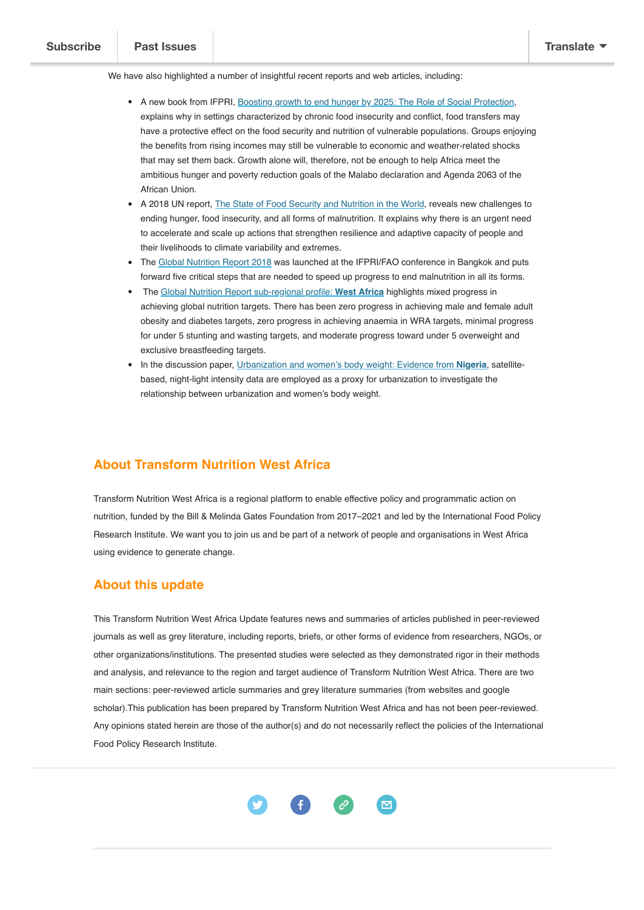We have also highlighted a number of insightful recent reports and web articles, including:

- A new book from IFPRI, Boosting growth to end hunger by 2025; The Role of Social Protection, explains why in settings characterized by chronic food insecurity and conflict, food transfers may have a protective effect on the food security and nutrition of vulnerable populations. Groups enjoying the benefits from rising incomes may still be vulnerable to economic and weather-related shocks that may set them back. Growth alone will, therefore, not be enough to help Africa meet the ambitious hunger and poverty reduction goals of the Malabo declaration and Agenda 2063 of the African Union.
- A 2018 UN report, [The State of Food Security and Nutrition in the World](https://www.unicef.org/publications/index_103248.html), reveals new challenges to ending hunger, food insecurity, and all forms of malnutrition. It explains why there is an urgent need to accelerate and scale up actions that strengthen resilience and adaptive capacity of people and their livelihoods to climate variability and extremes.
- The [Global Nutrition Report 2018](https://globalnutritionreport.org/reports/global-nutrition-report-2018/) was launched at the IFPRI/FAO conference in Bangkok and puts forward five critical steps that are needed to speed up progress to end malnutrition in all its forms.
- The [Global Nutrition Report sub-regional profile:](https://globalnutritionreport.org/nutrition-profiles/africa/western-africa/) **West Africa** highlights mixed progress in achieving global nutrition targets. There has been zero progress in achieving male and female adult obesity and diabetes targets, zero progress in achieving anaemia in WRA targets, minimal progress for under 5 stunting and wasting targets, and moderate progress toward under 5 overweight and exclusive breastfeeding targets.
- In the discussion paper, [Urbanization and women's body weight: Evidence from](http://www.ifpri.org/publication/urbanization-and-womens-body-weight-evidence-nigeria) **Nigeria**, satellitebased, night-light intensity data are employed as a proxy for urbanization to investigate the relationship between urbanization and women's body weight.

# **About Transform Nutrition West Africa**

Transform Nutrition West Africa is a regional platform to enable effective policy and programmatic action on nutrition, funded by the Bill & Melinda Gates Foundation from 2017–2021 and led by the International Food Policy Research Institute. We want you to join us and be part of a network of people and organisations in West Africa using evidence to generate change.

## **About this update**

This Transform Nutrition West Africa Update features news and summaries of articles published in peer-reviewed journals as well as grey literature, including reports, briefs, or other forms of evidence from researchers, NGOs, or other organizations/institutions. The presented studies were selected as they demonstrated rigor in their methods and analysis, and relevance to the region and target audience of Transform Nutrition West Africa. There are two main sections: peer-reviewed article summaries and grey literature summaries (from websites and google scholar).This publication has been prepared by Transform Nutrition West Africa and has not been peer-reviewed. Any opinions stated herein are those of the author(s) and do not necessarily reflect the policies of the International Food Policy Research Institute.